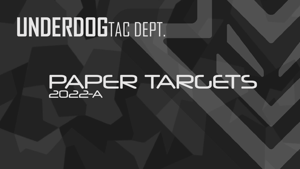# **UNDERDOG**TAC DEPT.

# PAPER TARGETS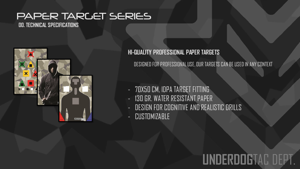**00. TECHNICAL SPECIFICATIONS**



**HI-QUALITY PROFESSIONAL PAPER TARGETS**

DESIGNED FOR PROFESSIONAL USE, OUR TARGETS CAN BE USED IN ANY CONTEXT

- 70X50 CM, IDPA TARGET FITTING
- 130 GR. WATER RESISTANT PAPER
- DESIGN FOR COGNITIVE AND REALISTIC DRILLS
- CUSTOMIZABLE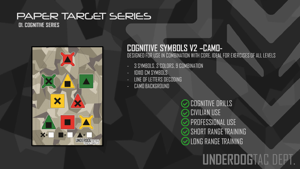**01. COGNITIVE SERIES**



#### **COGNITIVE SYMBOLS V2 –CAMO-**DESIGNED FOR USE IN COMBINATION WITH CORE, IDEAL FOR EXERCISES OF ALL LEVELS

- 3 SYMBOLS, 3 COLORS, 9 COMBINATION
- 10X10 CM SYMBOLS
- LINE OF LETTERS DECODING
- CAMO BACKGROUND

COGNITIVE DRILLS CIVILIAN USE PROFESSIONAL USE SHORT RANGE TRAINING LONG RANGE TRAINING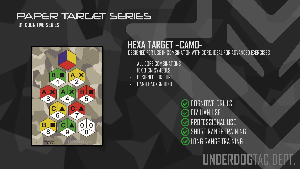**01. COGNITIVE SERIES**



#### **HEXA TARGET –CAMO-**DESIGNED FOR USE IN COMBINATION WITH CORE, IDEAL FOR ADVANCED EXERCISES

- ALL CORE COMBINATIONS
- 10X10 CM SYMBOLS
- DESIGNED FOR CORE
- CAMO BACKGROUND

COGNITIVE DRILLS CIVILIAN USE PROFESSIONAL USE SHORT RANGE TRAINING LONG RANGE TRAINING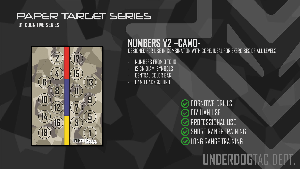**01. COGNITIVE SERIES**



#### **NUMBERS V2 –CAMO-** DESIGNED FOR USE IN COMBINATION WITH CORE, IDEAL FOR EXERCISES OF ALL LEVELS

- NUMBERS FROM 0 TO 18
- 12 CM DIAM. SYMBOLS
- CENTRAL COLOR BAR
- CAMO BACKGROUND

COGNITIVE DRILLS CIVILIAN USE PROFESSIONAL USE **SHORT RANGE TRAINING** LONG RANGE TRAINING

## **RDOGTAC**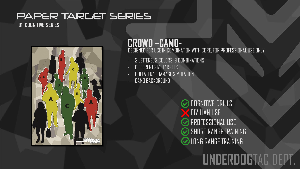**01. COGNITIVE SERIES**



#### **CROWD –CAMO-** DESIGNED FOR USE IN COMBINATION WITH CORE, FOR PROFESSIONAL USE ONLY

- 3 LETTERS, 3 COLORS, 9 COMBINATIONS
- DIFFERENT SIZE TARGETS
- COLLATERAL DAMAGE SIMULATION
- CAMO BACKGROUND

COGNITIVE DRILLS CIVILIAN USE PROFESSIONAL USE SHORT RANGE TRAINING LONG RANGE TRAINING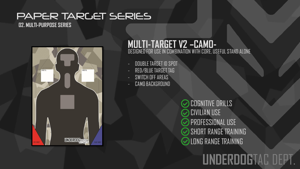**02. MULTI-PURPOSE SERIES**



#### **MULTI-TARGET V2 –CAMO-** DESIGNED FOR USE IN COMBINATION WITH CORE, USEFUL STAND ALONE

- DOUBLE TARGET ID SPOT
- RED/BLUE TARGET TAG
- SWITCH OFF AREAS
- CAMO BACKGROUND

COGNITIVE DRILLS CIVILIAN USE PROFESSIONAL USE SHORT RANGE TRAINING LONG RANGE TRAINING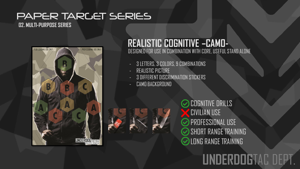#### PAPER TARLET SERIES **02. MULTI-PURPOSE SERIES**

PROFESSIONAL USE ONLY PROFESSIONAL USE ONL' **UNDERDOG TAGTEM** 

#### **REALISTIC COGNITIVE –CAMO-** DESIGNED FOR USE IN COMBINATION WITH CORE, USEFUL STAND ALONE

- 3 LETTERS, 3 COLORS, 9 COMBINATIONS
- REALISTIC PICTURE
- **3 DIFFERENT DISCRIMINATION STICKERS**
- CAMO BACKGROUND



COGNITIVE DRILLS CIVILIAN USE PROFESSIONAL USE **SHORT RANGE TRAINING** LONG RANGE TRAINING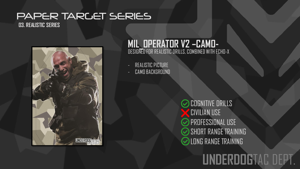**03. REALISTIC SERIES**



#### **MIL\_OPERATOR V2 –CAMO-** DESIGNED FOR REALISTIC DRILLS, COMBINED WITH ECHO-X

REALISTIC PICTURE

CAMO BACKGROUND

**COGNITIVE DRILLS** CIVILIAN USE PROFESSIONAL USE SHORT RANGE TRAINING LONG RANGE TRAINING

## **UNDERDOG**TAC DEPT.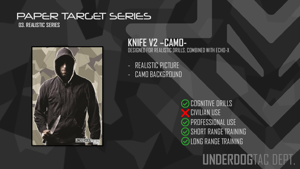**03. REALISTIC SERIES**



#### **KNIFE V2 –CAMO-** DESIGNED FOR REALISTIC DRILLS, COMBINED WITH ECHO-X

- REALISTIC PICTURE
- CAMO BACKGROUND

COGNITIVE DRILLS CIVILIAN USE PROFESSIONAL USE SHORT RANGE TRAINING LONG RANGE TRAINING

## **UNDERDOG**TAC DEPT.